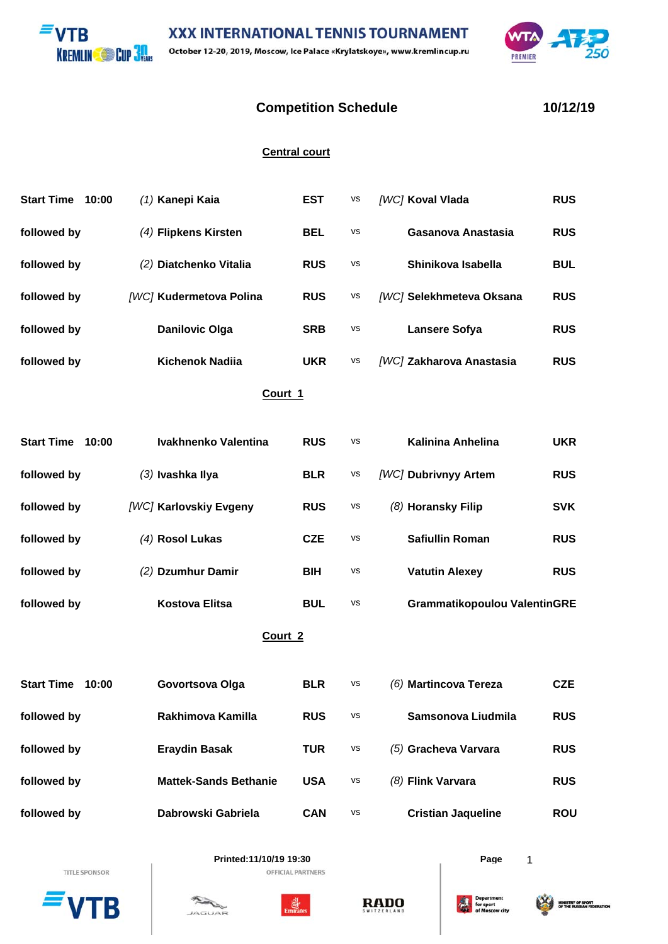**XXX INTERNATIONAL TENNIS TOURNAMENT VTR KREMLIN COD 3M** October 12-20, 2019, Moscow, Ice Palace «Krylatskoye», www.kremlincup.ru



## **Competition Schedule 10/12/19**

## **Central court**

| <b>Start Time</b>  | 10:00 | (1) Kanepi Kaia              | <b>EST</b> | vs | [WC] Koval Vlada                    | <b>RUS</b> |  |  |  |  |
|--------------------|-------|------------------------------|------------|----|-------------------------------------|------------|--|--|--|--|
| followed by        |       | (4) Flipkens Kirsten         | <b>BEL</b> | VS | Gasanova Anastasia                  | <b>RUS</b> |  |  |  |  |
| followed by        |       | (2) Diatchenko Vitalia       | <b>RUS</b> | VS | Shinikova Isabella                  | <b>BUL</b> |  |  |  |  |
| followed by        |       | [WC] Kudermetova Polina      | <b>RUS</b> | VS | [WC] Selekhmeteva Oksana            | <b>RUS</b> |  |  |  |  |
| followed by        |       | <b>Danilovic Olga</b>        | <b>SRB</b> | VS | <b>Lansere Sofya</b>                | <b>RUS</b> |  |  |  |  |
| followed by        |       | <b>Kichenok Nadiia</b>       | <b>UKR</b> | VS | [WC] Zakharova Anastasia            | <b>RUS</b> |  |  |  |  |
| Court 1            |       |                              |            |    |                                     |            |  |  |  |  |
| <b>Start Time</b>  | 10:00 | Ivakhnenko Valentina         | <b>RUS</b> | VS | <b>Kalinina Anhelina</b>            | <b>UKR</b> |  |  |  |  |
| followed by        |       | (3) Ivashka Ilya             | <b>BLR</b> | VS | [WC] Dubrivnyy Artem                | <b>RUS</b> |  |  |  |  |
| followed by        |       | [WC] Karlovskiy Evgeny       | <b>RUS</b> | VS | (8) Horansky Filip                  | <b>SVK</b> |  |  |  |  |
| followed by        |       | (4) Rosol Lukas              | <b>CZE</b> | VS | <b>Safiullin Roman</b>              | <b>RUS</b> |  |  |  |  |
| followed by        |       | (2) Dzumhur Damir            | <b>BIH</b> | VS | <b>Vatutin Alexey</b>               | <b>RUS</b> |  |  |  |  |
| followed by        |       | <b>Kostova Elitsa</b>        | <b>BUL</b> | VS | <b>Grammatikopoulou ValentinGRE</b> |            |  |  |  |  |
| Court <sub>2</sub> |       |                              |            |    |                                     |            |  |  |  |  |
| <b>Start Time</b>  | 10:00 | Govortsova Olga              | <b>BLR</b> | VS | (6) Martincova Tereza               | <b>CZE</b> |  |  |  |  |
| followed by        |       | Rakhimova Kamilla            | <b>RUS</b> | vs | Samsonova Liudmila                  | <b>RUS</b> |  |  |  |  |
| followed by        |       | <b>Eraydin Basak</b>         | <b>TUR</b> | VS | (5) Gracheva Varvara                | <b>RUS</b> |  |  |  |  |
| followed by        |       | <b>Mattek-Sands Bethanie</b> | <b>USA</b> | vs | (8) Flink Varvara                   | <b>RUS</b> |  |  |  |  |
| followed by        |       | Dabrowski Gabriela           | <b>CAN</b> | VS | <b>Cristian Jaqueline</b>           | <b>ROU</b> |  |  |  |  |
|                    |       |                              |            |    |                                     |            |  |  |  |  |

TITLE SPONSOR B





OFFICIAL PARTNERS



**Printed:11/10/19 19:30 Page** 1